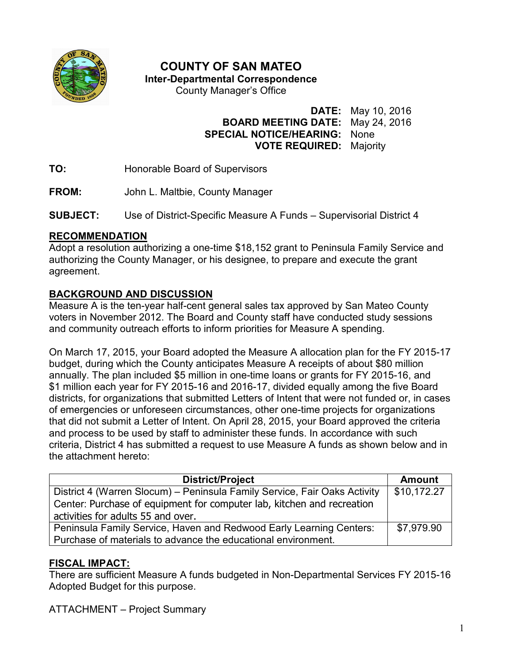

# **COUNTY OF SAN MATEO**

**Inter-Departmental Correspondence** 

County Manager's Office

**DATE:** May 10, 2016

# **BOARD MEETING DATE:** May 24, 2016 **SPECIAL NOTICE/HEARING:** None **VOTE REQUIRED:** Majority

**TO:** Honorable Board of Supervisors

**FROM:** John L. Maltbie, County Manager

**SUBJECT:** Use of District-Specific Measure A Funds – Supervisorial District 4

#### **RECOMMENDATION**

Adopt a resolution authorizing a one-time \$18,152 grant to Peninsula Family Service and authorizing the County Manager, or his designee, to prepare and execute the grant agreement.

# **BACKGROUND AND DISCUSSION**

Measure A is the ten-year half-cent general sales tax approved by San Mateo County voters in November 2012. The Board and County staff have conducted study sessions and community outreach efforts to inform priorities for Measure A spending.

On March 17, 2015, your Board adopted the Measure A allocation plan for the FY 2015-17 budget, during which the County anticipates Measure A receipts of about \$80 million annually. The plan included \$5 million in one-time loans or grants for FY 2015-16, and \$1 million each year for FY 2015-16 and 2016-17, divided equally among the five Board districts, for organizations that submitted Letters of Intent that were not funded or, in cases of emergencies or unforeseen circumstances, other one-time projects for organizations that did not submit a Letter of Intent. On April 28, 2015, your Board approved the criteria and process to be used by staff to administer these funds. In accordance with such criteria, District 4 has submitted a request to use Measure A funds as shown below and in the attachment hereto:

| <b>District/Project</b>                                                   | <b>Amount</b> |
|---------------------------------------------------------------------------|---------------|
| District 4 (Warren Slocum) - Peninsula Family Service, Fair Oaks Activity | \$10,172.27   |
| Center: Purchase of equipment for computer lab, kitchen and recreation    |               |
| activities for adults 55 and over.                                        |               |
| Peninsula Family Service, Haven and Redwood Early Learning Centers:       | \$7,979.90    |
| Purchase of materials to advance the educational environment.             |               |

### **FISCAL IMPACT:**

There are sufficient Measure A funds budgeted in Non-Departmental Services FY 2015-16 Adopted Budget for this purpose.

ATTACHMENT – Project Summary